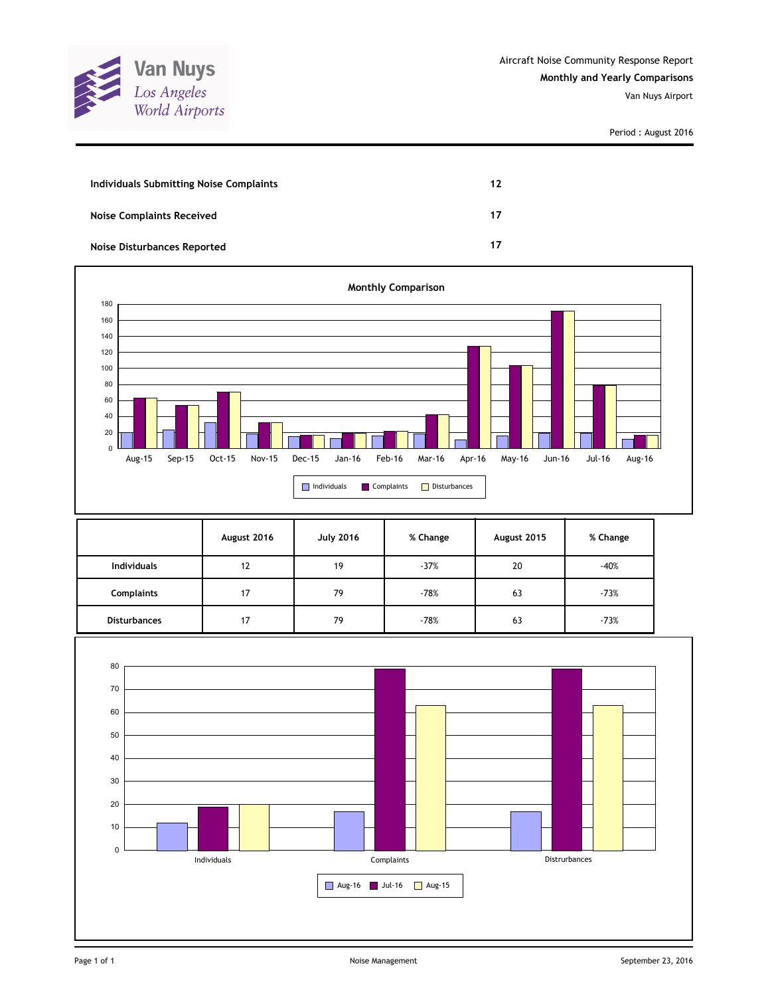

| Individuals Submitting Noise Complaints | 12 |
|-----------------------------------------|----|
| <b>Noise Complaints Received</b>        | 17 |
| Noise Disturbances Reported             | 17 |



|                     | August 2016 | <b>July 2016</b> | % Change | August 2015 | % Change |
|---------------------|-------------|------------------|----------|-------------|----------|
| <b>Individuals</b>  | 12          | 19               | $-37%$   | 20          | $-40%$   |
| <b>Complaints</b>   | 17          | 79               | $-78%$   | 63          | $-73%$   |
| <b>Disturbances</b> | 17          | 79               | $-78%$   | 63          | $-73%$   |

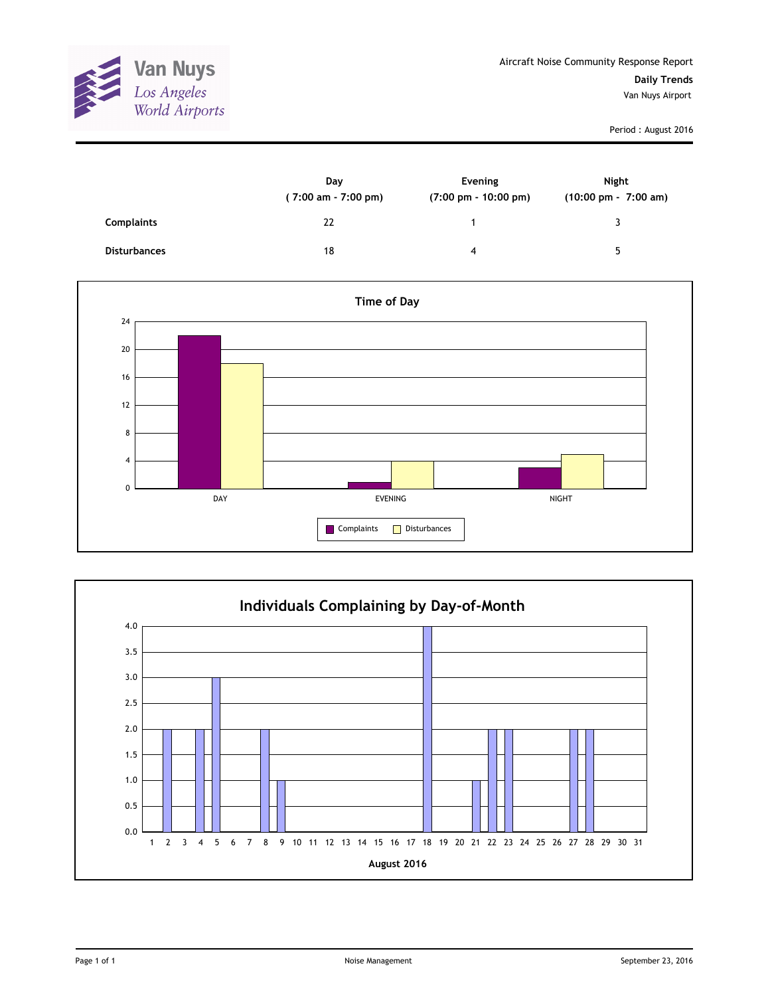

|                     | Day<br>(7:00 am - 7:00 pm) | Evening<br>$(7:00 \text{ pm} - 10:00 \text{ pm})$ | Night<br>(10:00 pm - 7:00 am) |
|---------------------|----------------------------|---------------------------------------------------|-------------------------------|
| <b>Complaints</b>   | 22                         |                                                   | ર                             |
| <b>Disturbances</b> | 18                         | 4                                                 | 5                             |



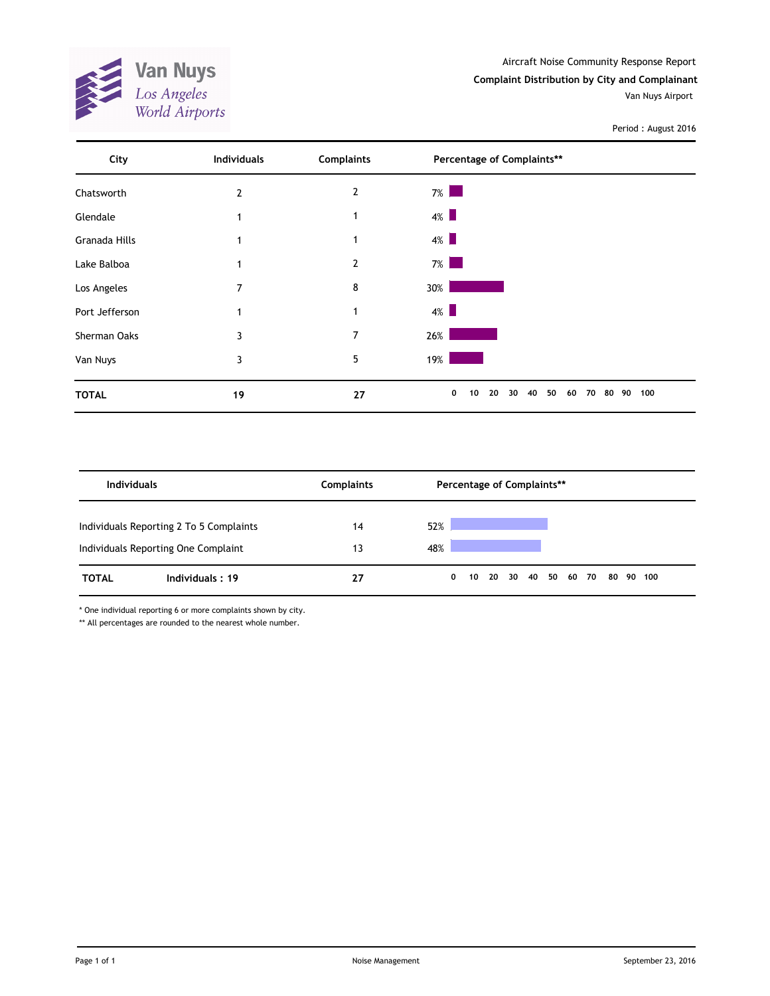

| City           | <b>Individuals</b> | <b>Complaints</b> | Percentage of Complaints**                              |     |
|----------------|--------------------|-------------------|---------------------------------------------------------|-----|
| Chatsworth     | 2                  | 2                 | $7\%$                                                   |     |
| Glendale       | 1                  | 1                 | $4\%$                                                   |     |
| Granada Hills  |                    | 1                 | $4\%$                                                   |     |
| Lake Balboa    |                    | $\overline{2}$    | $7\%$                                                   |     |
| Los Angeles    | 7                  | 8                 | 30%                                                     |     |
| Port Jefferson |                    | 1                 | $4\%$                                                   |     |
| Sherman Oaks   | 3                  | 7                 | 26%                                                     |     |
| Van Nuys       | 3                  | 5                 | 19%                                                     |     |
| <b>TOTAL</b>   | 19                 | 27                | 0<br>20<br>40<br>50<br>90<br>10<br>30<br>60<br>70<br>80 | 100 |

| <b>Individuals</b> |                                                                                | <b>Complaints</b> | Percentage of Complaints** |   |                      |  |  |  |  |  |  |           |  |
|--------------------|--------------------------------------------------------------------------------|-------------------|----------------------------|---|----------------------|--|--|--|--|--|--|-----------|--|
|                    | Individuals Reporting 2 To 5 Complaints<br>Individuals Reporting One Complaint | 14<br>13          | 52%<br>48%                 |   |                      |  |  |  |  |  |  |           |  |
| <b>TOTAL</b>       | Individuals: 19                                                                | 27                |                            | 0 | 10 20 30 40 50 60 70 |  |  |  |  |  |  | 80 90 100 |  |

\* One individual reporting 6 or more complaints shown by city.

\*\* All percentages are rounded to the nearest whole number.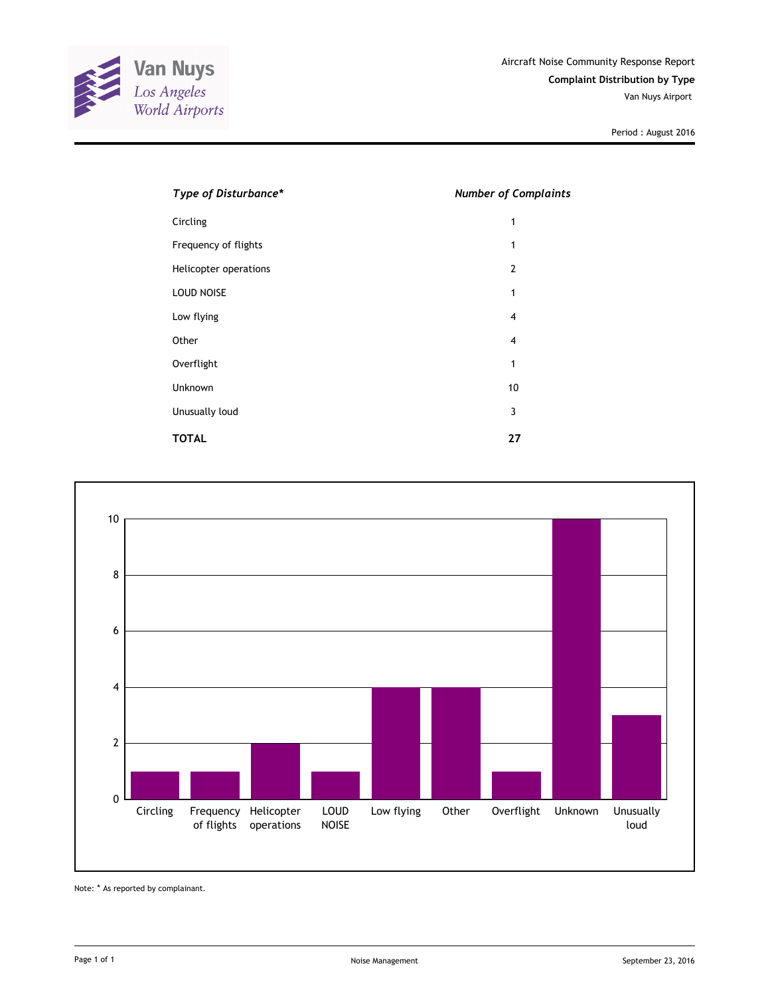

| Type of Disturbance*  | <b>Number of Complaints</b> |
|-----------------------|-----------------------------|
| Circling              | 1                           |
| Frequency of flights  | 1                           |
| Helicopter operations | $\overline{2}$              |
| <b>LOUD NOISE</b>     | 1                           |
| Low flying            | 4                           |
| Other                 | 4                           |
| Overflight            | 1                           |
| Unknown               | 10                          |
| Unusually loud        | 3                           |
| <b>TOTAL</b>          | 27                          |



Note: \* As reported by complainant.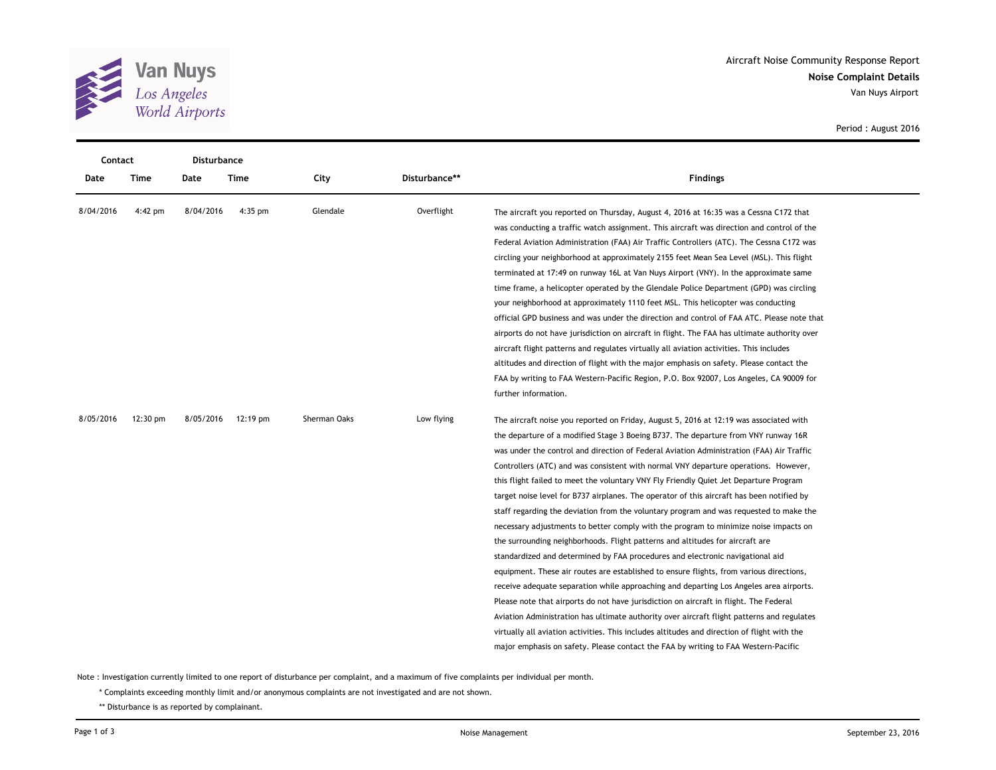

| Contact   |                    | <b>Disturbance</b> |           |              |               |                                                                                              |  |  |
|-----------|--------------------|--------------------|-----------|--------------|---------------|----------------------------------------------------------------------------------------------|--|--|
| Date      | Time               | Date               | Time      | City         | Disturbance** | <b>Findings</b>                                                                              |  |  |
| 8/04/2016 | 4:42 pm            | 8/04/2016          | $4:35$ pm | Glendale     | Overflight    | The aircraft you reported on Thursday, August 4, 2016 at 16:35 was a Cessna C172 that        |  |  |
|           |                    |                    |           |              |               | was conducting a traffic watch assignment. This aircraft was direction and control of the    |  |  |
|           |                    |                    |           |              |               | Federal Aviation Administration (FAA) Air Traffic Controllers (ATC). The Cessna C172 was     |  |  |
|           |                    |                    |           |              |               | circling your neighborhood at approximately 2155 feet Mean Sea Level (MSL). This flight      |  |  |
|           |                    |                    |           |              |               | terminated at 17:49 on runway 16L at Van Nuys Airport (VNY). In the approximate same         |  |  |
|           |                    |                    |           |              |               | time frame, a helicopter operated by the Glendale Police Department (GPD) was circling       |  |  |
|           |                    |                    |           |              |               | your neighborhood at approximately 1110 feet MSL. This helicopter was conducting             |  |  |
|           |                    |                    |           |              |               | official GPD business and was under the direction and control of FAA ATC. Please note that   |  |  |
|           |                    |                    |           |              |               | airports do not have jurisdiction on aircraft in flight. The FAA has ultimate authority over |  |  |
|           |                    |                    |           |              |               | aircraft flight patterns and regulates virtually all aviation activities. This includes      |  |  |
|           |                    |                    |           |              |               | altitudes and direction of flight with the major emphasis on safety. Please contact the      |  |  |
|           |                    |                    |           |              |               | FAA by writing to FAA Western-Pacific Region, P.O. Box 92007, Los Angeles, CA 90009 for      |  |  |
|           |                    |                    |           |              |               | further information.                                                                         |  |  |
| 8/05/2016 | $12:30 \text{ pm}$ | 8/05/2016          | 12:19 pm  | Sherman Oaks | Low flying    | The aircraft noise you reported on Friday, August 5, 2016 at 12:19 was associated with       |  |  |
|           |                    |                    |           |              |               | the departure of a modified Stage 3 Boeing B737. The departure from VNY runway 16R           |  |  |
|           |                    |                    |           |              |               | was under the control and direction of Federal Aviation Administration (FAA) Air Traffic     |  |  |
|           |                    |                    |           |              |               | Controllers (ATC) and was consistent with normal VNY departure operations. However,          |  |  |
|           |                    |                    |           |              |               | this flight failed to meet the voluntary VNY Fly Friendly Quiet Jet Departure Program        |  |  |
|           |                    |                    |           |              |               | target noise level for B737 airplanes. The operator of this aircraft has been notified by    |  |  |
|           |                    |                    |           |              |               | staff regarding the deviation from the voluntary program and was requested to make the       |  |  |
|           |                    |                    |           |              |               | necessary adjustments to better comply with the program to minimize noise impacts on         |  |  |
|           |                    |                    |           |              |               | the surrounding neighborhoods. Flight patterns and altitudes for aircraft are                |  |  |
|           |                    |                    |           |              |               | standardized and determined by FAA procedures and electronic navigational aid                |  |  |
|           |                    |                    |           |              |               | equipment. These air routes are established to ensure flights, from various directions,      |  |  |
|           |                    |                    |           |              |               | receive adequate separation while approaching and departing Los Angeles area airports.       |  |  |
|           |                    |                    |           |              |               | Please note that airports do not have jurisdiction on aircraft in flight. The Federal        |  |  |
|           |                    |                    |           |              |               | Aviation Administration has ultimate authority over aircraft flight patterns and regulates   |  |  |
|           |                    |                    |           |              |               | virtually all aviation activities. This includes altitudes and direction of flight with the  |  |  |

Note : Investigation currently limited to one report of disturbance per complaint, and a maximum of five complaints per individual per month.

\* Complaints exceeding monthly limit and/or anonymous complaints are not investigated and are not shown.

\*\* Disturbance is as reported by complainant.

major emphasis on safety. Please contact the FAA by writing to FAA Western-Pacific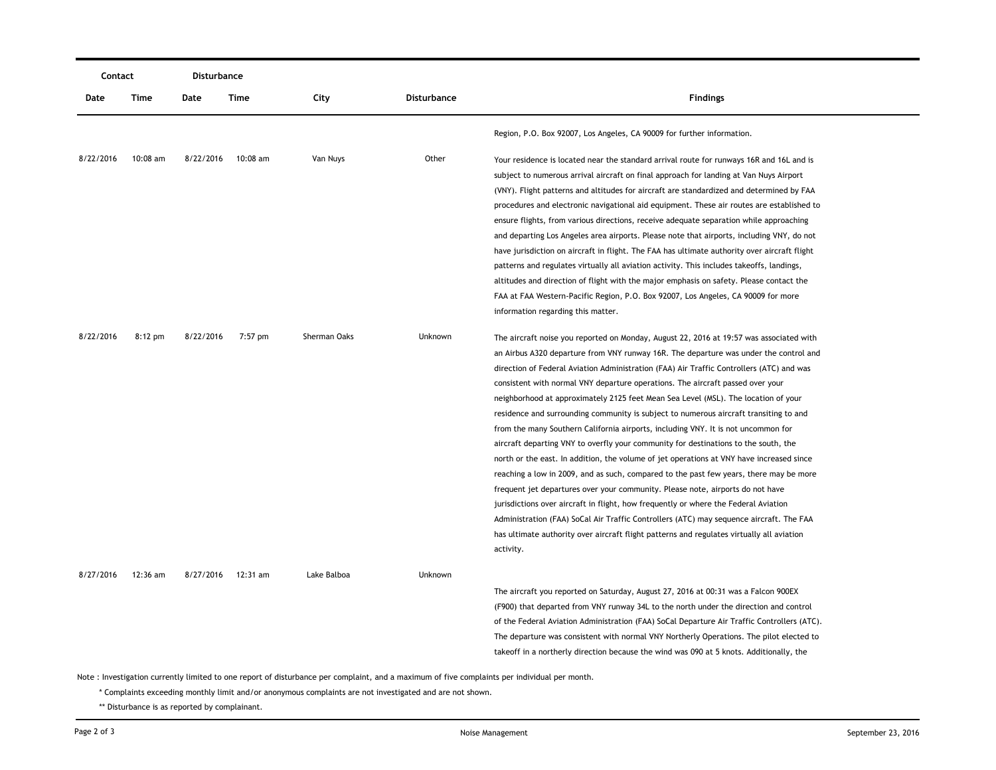|           | Contact  |           | Disturbance |              |                |                                                                                                                                                                                                                                                                                                                                                                                                                                                                                                                                                                                                                                                                                                                                                                                                                                                                                                                                                                                                                                                                                                                                                                                                                                                                                               |  |  |
|-----------|----------|-----------|-------------|--------------|----------------|-----------------------------------------------------------------------------------------------------------------------------------------------------------------------------------------------------------------------------------------------------------------------------------------------------------------------------------------------------------------------------------------------------------------------------------------------------------------------------------------------------------------------------------------------------------------------------------------------------------------------------------------------------------------------------------------------------------------------------------------------------------------------------------------------------------------------------------------------------------------------------------------------------------------------------------------------------------------------------------------------------------------------------------------------------------------------------------------------------------------------------------------------------------------------------------------------------------------------------------------------------------------------------------------------|--|--|
| Date      | Time     | Date      | Time        | City         | Disturbance    | <b>Findings</b>                                                                                                                                                                                                                                                                                                                                                                                                                                                                                                                                                                                                                                                                                                                                                                                                                                                                                                                                                                                                                                                                                                                                                                                                                                                                               |  |  |
|           |          |           |             |              |                | Region, P.O. Box 92007, Los Angeles, CA 90009 for further information.                                                                                                                                                                                                                                                                                                                                                                                                                                                                                                                                                                                                                                                                                                                                                                                                                                                                                                                                                                                                                                                                                                                                                                                                                        |  |  |
| 8/22/2016 | 10:08 am | 8/22/2016 | 10:08 am    | Van Nuys     | Other          | Your residence is located near the standard arrival route for runways 16R and 16L and is<br>subject to numerous arrival aircraft on final approach for landing at Van Nuys Airport<br>(VNY). Flight patterns and altitudes for aircraft are standardized and determined by FAA<br>procedures and electronic navigational aid equipment. These air routes are established to<br>ensure flights, from various directions, receive adequate separation while approaching<br>and departing Los Angeles area airports. Please note that airports, including VNY, do not                                                                                                                                                                                                                                                                                                                                                                                                                                                                                                                                                                                                                                                                                                                            |  |  |
|           |          |           |             |              |                | have jurisdiction on aircraft in flight. The FAA has ultimate authority over aircraft flight<br>patterns and regulates virtually all aviation activity. This includes takeoffs, landings,<br>altitudes and direction of flight with the major emphasis on safety. Please contact the<br>FAA at FAA Western-Pacific Region, P.O. Box 92007, Los Angeles, CA 90009 for more<br>information regarding this matter.                                                                                                                                                                                                                                                                                                                                                                                                                                                                                                                                                                                                                                                                                                                                                                                                                                                                               |  |  |
| 8/22/2016 | 8:12 pm  | 8/22/2016 | 7:57 pm     | Sherman Oaks | Unknown        | The aircraft noise you reported on Monday, August 22, 2016 at 19:57 was associated with<br>an Airbus A320 departure from VNY runway 16R. The departure was under the control and<br>direction of Federal Aviation Administration (FAA) Air Traffic Controllers (ATC) and was<br>consistent with normal VNY departure operations. The aircraft passed over your<br>neighborhood at approximately 2125 feet Mean Sea Level (MSL). The location of your<br>residence and surrounding community is subject to numerous aircraft transiting to and<br>from the many Southern California airports, including VNY. It is not uncommon for<br>aircraft departing VNY to overfly your community for destinations to the south, the<br>north or the east. In addition, the volume of jet operations at VNY have increased since<br>reaching a low in 2009, and as such, compared to the past few years, there may be more<br>frequent jet departures over your community. Please note, airports do not have<br>jurisdictions over aircraft in flight, how frequently or where the Federal Aviation<br>Administration (FAA) SoCal Air Traffic Controllers (ATC) may sequence aircraft. The FAA<br>has ultimate authority over aircraft flight patterns and regulates virtually all aviation<br>activity. |  |  |
| 8/27/2016 | 12:36 am | 8/27/2016 | 12:31 am    | Lake Balboa  | <b>Unknown</b> | The aircraft you reported on Saturday, August 27, 2016 at 00:31 was a Falcon 900EX<br>(F900) that departed from VNY runway 34L to the north under the direction and control<br>of the Federal Aviation Administration (FAA) SoCal Departure Air Traffic Controllers (ATC).<br>The departure was consistent with normal VNY Northerly Operations. The pilot elected to<br>takeoff in a northerly direction because the wind was 090 at 5 knots. Additionally, the                                                                                                                                                                                                                                                                                                                                                                                                                                                                                                                                                                                                                                                                                                                                                                                                                              |  |  |

Note : Investigation currently limited to one report of disturbance per complaint, and a maximum of five complaints per individual per month.

\* Complaints exceeding monthly limit and/or anonymous complaints are not investigated and are not shown.

\*\* Disturbance is as reported by complainant.